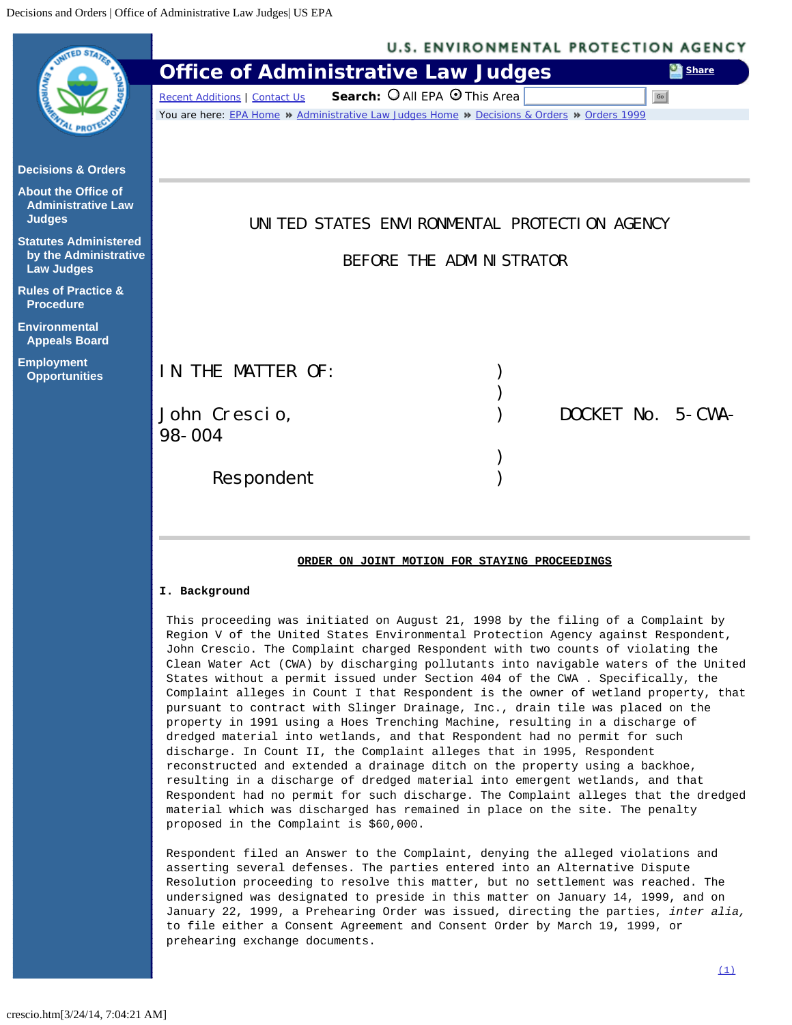<span id="page-0-0"></span>

|                                                                          | <b>U.S. ENVIRONMENTAL PROTECTION AGENCY</b>                                                   |                               |                   |
|--------------------------------------------------------------------------|-----------------------------------------------------------------------------------------------|-------------------------------|-------------------|
|                                                                          | <b>Office of Administrative Law Judges</b>                                                    |                               | <b>Share</b>      |
|                                                                          | <b>Recent Additions   Contact Us</b>                                                          | Search: O All EPA O This Area | Go                |
|                                                                          | You are here: EPA Home >> Administrative Law Judges Home >> Decisions & Orders >> Orders 1999 |                               |                   |
|                                                                          |                                                                                               |                               |                   |
|                                                                          |                                                                                               |                               |                   |
| <b>Decisions &amp; Orders</b>                                            |                                                                                               |                               |                   |
| <b>About the Office of</b><br><b>Administrative Law</b><br><b>Judges</b> | UNITED STATES ENVIRONMENTAL PROTECTION AGENCY                                                 |                               |                   |
| <b>Statutes Administered</b>                                             |                                                                                               |                               |                   |
| by the Administrative<br><b>Law Judges</b>                               | BEFORE THE ADMINISTRATOR                                                                      |                               |                   |
| <b>Rules of Practice &amp;</b><br><b>Procedure</b>                       |                                                                                               |                               |                   |
| <b>Environmental</b><br><b>Appeals Board</b>                             |                                                                                               |                               |                   |
| <b>Employment</b>                                                        | IN THE MATTER OF:                                                                             |                               |                   |
| <b>Opportunities</b>                                                     |                                                                                               |                               |                   |
|                                                                          |                                                                                               |                               | DOCKET No. 5-CWA- |
|                                                                          | John Crescio,<br>$98 - 004$                                                                   |                               |                   |
|                                                                          |                                                                                               |                               |                   |
|                                                                          |                                                                                               |                               |                   |
|                                                                          | Respondent                                                                                    |                               |                   |
|                                                                          |                                                                                               |                               |                   |
|                                                                          |                                                                                               |                               |                   |
|                                                                          |                                                                                               |                               |                   |
|                                                                          | ORDER ON JOINT MOTION FOR STAYING PROCEEDINGS                                                 |                               |                   |
|                                                                          | I. Background                                                                                 |                               |                   |
|                                                                          |                                                                                               |                               |                   |

This proceeding was initiated on August 21, 1998 by the filing of a Complaint by Region V of the United States Environmental Protection Agency against Respondent, John Crescio. The Complaint charged Respondent with two counts of violating the Clean Water Act (CWA) by discharging pollutants into navigable waters of the United States without a permit issued under Section 404 of the CWA . Specifically, the Complaint alleges in Count I that Respondent is the owner of wetland property, that pursuant to contract with Slinger Drainage, Inc., drain tile was placed on the property in 1991 using a Hoes Trenching Machine, resulting in a discharge of dredged material into wetlands, and that Respondent had no permit for such discharge. In Count II, the Complaint alleges that in 1995, Respondent reconstructed and extended a drainage ditch on the property using a backhoe, resulting in a discharge of dredged material into emergent wetlands, and that Respondent had no permit for such discharge. The Complaint alleges that the dredged material which was discharged has remained in place on the site. The penalty proposed in the Complaint is \$60,000.

Respondent filed an Answer to the Complaint, denying the alleged violations and asserting several defenses. The parties entered into an Alternative Dispute Resolution proceeding to resolve this matter, but no settlement was reached. The undersigned was designated to preside in this matter on January 14, 1999, and on January 22, 1999, a Prehearing Order was issued, directing the parties, *inter alia,* to file either a Consent Agreement and Consent Order by March 19, 1999, or prehearing exchange documents.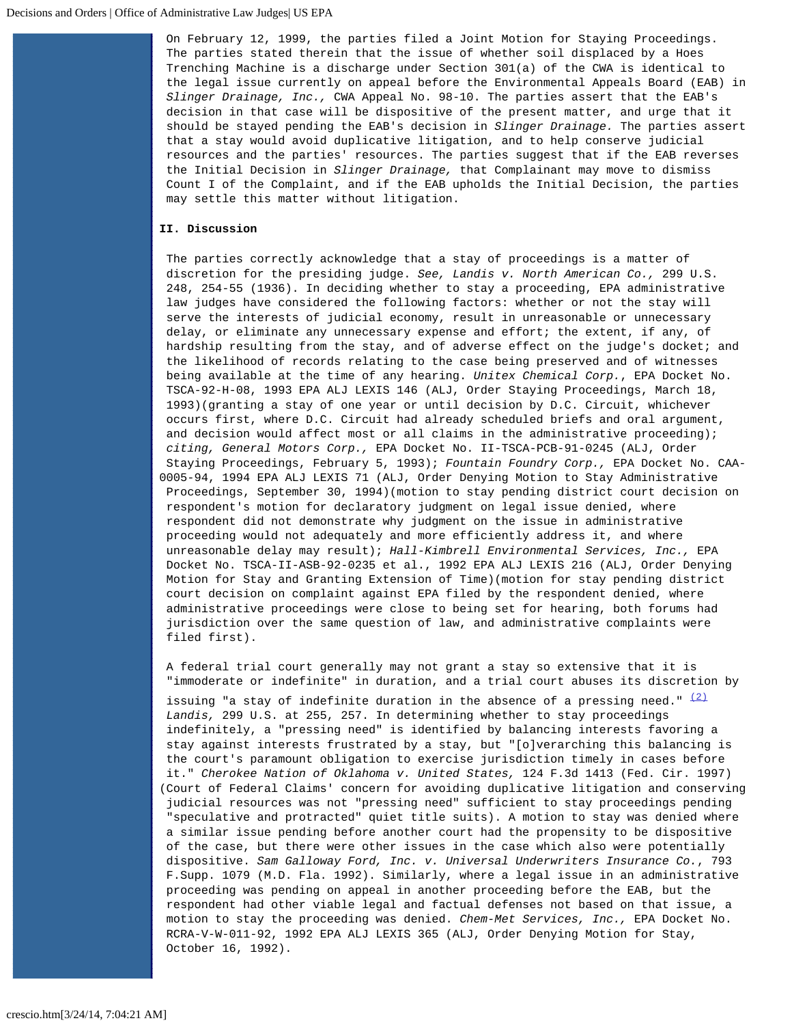On February 12, 1999, the parties filed a Joint Motion for Staying Proceedings. The parties stated therein that the issue of whether soil displaced by a Hoes Trenching Machine is a discharge under Section 301(a) of the CWA is identical to the legal issue currently on appeal before the Environmental Appeals Board (EAB) in *Slinger Drainage, Inc.,* CWA Appeal No. 98-10. The parties assert that the EAB's decision in that case will be dispositive of the present matter, and urge that it should be stayed pending the EAB's decision in *Slinger Drainage.* The parties assert that a stay would avoid duplicative litigation, and to help conserve judicial resources and the parties' resources. The parties suggest that if the EAB reverses the Initial Decision in *Slinger Drainage,* that Complainant may move to dismiss Count I of the Complaint, and if the EAB upholds the Initial Decision, the parties may settle this matter without litigation.

## **II. Discussion**

The parties correctly acknowledge that a stay of proceedings is a matter of discretion for the presiding judge. *See, Landis v. North American Co.,* 299 U.S. 248, 254-55 (1936). In deciding whether to stay a proceeding, EPA administrative law judges have considered the following factors: whether or not the stay will serve the interests of judicial economy, result in unreasonable or unnecessary delay, or eliminate any unnecessary expense and effort; the extent, if any, of hardship resulting from the stay, and of adverse effect on the judge's docket; and the likelihood of records relating to the case being preserved and of witnesses being available at the time of any hearing. *Unitex Chemical Corp.*, EPA Docket No. TSCA-92-H-08, 1993 EPA ALJ LEXIS 146 (ALJ, Order Staying Proceedings, March 18, 1993)(granting a stay of one year or until decision by D.C. Circuit, whichever occurs first, where D.C. Circuit had already scheduled briefs and oral argument, and decision would affect most or all claims in the administrative proceeding); *citing, General Motors Corp.,* EPA Docket No. II-TSCA-PCB-91-0245 (ALJ, Order Staying Proceedings, February 5, 1993); *Fountain Foundry Corp.,* EPA Docket No. CAA-0005-94, 1994 EPA ALJ LEXIS 71 (ALJ, Order Denying Motion to Stay Administrative Proceedings, September 30, 1994)(motion to stay pending district court decision on respondent's motion for declaratory judgment on legal issue denied, where respondent did not demonstrate why judgment on the issue in administrative proceeding would not adequately and more efficiently address it, and where unreasonable delay may result); *Hall-Kimbrell Environmental Services, Inc.,* EPA Docket No. TSCA-II-ASB-92-0235 et al., 1992 EPA ALJ LEXIS 216 (ALJ, Order Denying Motion for Stay and Granting Extension of Time)(motion for stay pending district court decision on complaint against EPA filed by the respondent denied, where administrative proceedings were close to being set for hearing, both forums had jurisdiction over the same question of law, and administrative complaints were filed first).

A federal trial court generally may not grant a stay so extensive that it is "immoderate or indefinite" in duration, and a trial court abuses its discretion by

issuing "a stay of indefinite duration in the absence of a pressing need."  $(2)$ *Landis,* 299 U.S. at 255, 257. In determining whether to stay proceedings indefinitely, a "pressing need" is identified by balancing interests favoring a stay against interests frustrated by a stay, but "[o]verarching this balancing is the court's paramount obligation to exercise jurisdiction timely in cases before it." *Cherokee Nation of Oklahoma v. United States,* 124 F.3d 1413 (Fed. Cir. 1997) (Court of Federal Claims' concern for avoiding duplicative litigation and conserving judicial resources was not "pressing need" sufficient to stay proceedings pending "speculative and protracted" quiet title suits). A motion to stay was denied where a similar issue pending before another court had the propensity to be dispositive of the case, but there were other issues in the case which also were potentially dispositive. *Sam Galloway Ford, Inc. v. Universal Underwriters Insurance Co.*, 793 F.Supp. 1079 (M.D. Fla. 1992). Similarly, where a legal issue in an administrative proceeding was pending on appeal in another proceeding before the EAB, but the respondent had other viable legal and factual defenses not based on that issue, a motion to stay the proceeding was denied. *Chem-Met Services, Inc.,* EPA Docket No. RCRA-V-W-011-92, 1992 EPA ALJ LEXIS 365 (ALJ, Order Denying Motion for Stay, October 16, 1992).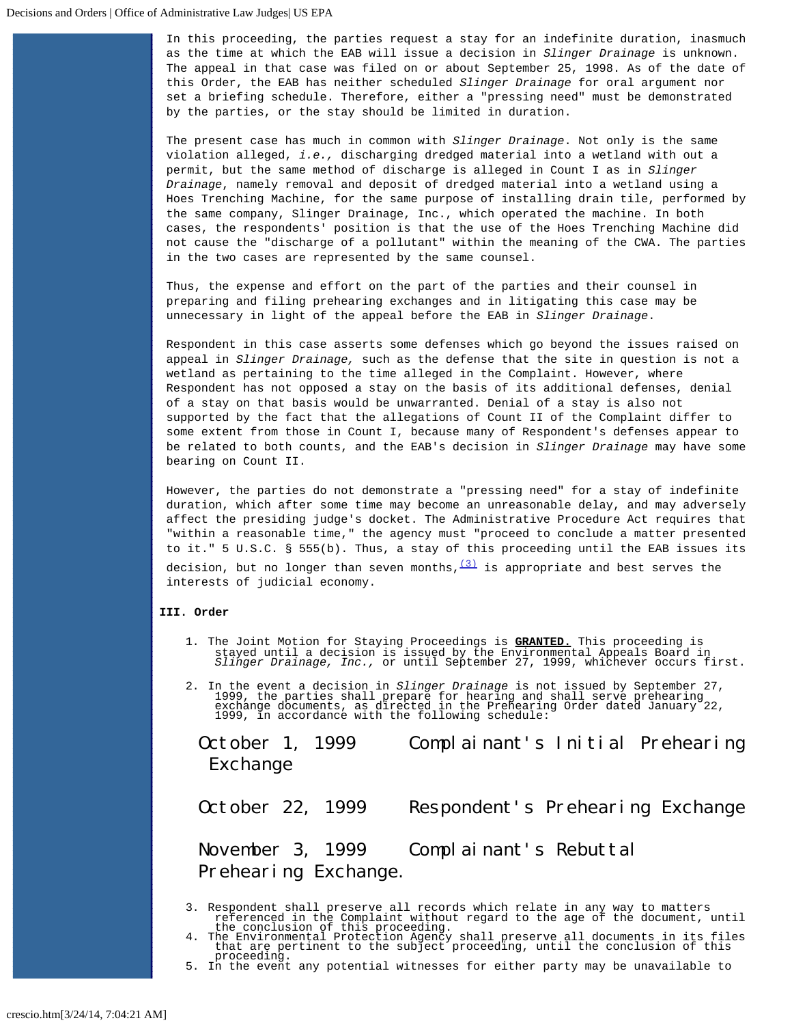In this proceeding, the parties request a stay for an indefinite duration, inasmuch as the time at which the EAB will issue a decision in *Slinger Drainage* is unknown. The appeal in that case was filed on or about September 25, 1998. As of the date of this Order, the EAB has neither scheduled *Slinger Drainage* for oral argument nor set a briefing schedule. Therefore, either a "pressing need" must be demonstrated by the parties, or the stay should be limited in duration.

The present case has much in common with *Slinger Drainage*. Not only is the same violation alleged, *i.e.,* discharging dredged material into a wetland with out a permit, but the same method of discharge is alleged in Count I as in *Slinger Drainage*, namely removal and deposit of dredged material into a wetland using a Hoes Trenching Machine, for the same purpose of installing drain tile, performed by the same company, Slinger Drainage, Inc., which operated the machine. In both cases, the respondents' position is that the use of the Hoes Trenching Machine did not cause the "discharge of a pollutant" within the meaning of the CWA. The parties in the two cases are represented by the same counsel.

Thus, the expense and effort on the part of the parties and their counsel in preparing and filing prehearing exchanges and in litigating this case may be unnecessary in light of the appeal before the EAB in *Slinger Drainage*.

Respondent in this case asserts some defenses which go beyond the issues raised on appeal in *Slinger Drainage,* such as the defense that the site in question is not a wetland as pertaining to the time alleged in the Complaint. However, where Respondent has not opposed a stay on the basis of its additional defenses, denial of a stay on that basis would be unwarranted. Denial of a stay is also not supported by the fact that the allegations of Count II of the Complaint differ to some extent from those in Count I, because many of Respondent's defenses appear to be related to both counts, and the EAB's decision in *Slinger Drainage* may have some bearing on Count II.

However, the parties do not demonstrate a "pressing need" for a stay of indefinite duration, which after some time may become an unreasonable delay, and may adversely affect the presiding judge's docket. The Administrative Procedure Act requires that "within a reasonable time," the agency must "proceed to conclude a matter presented to it." 5 U.S.C. § 555(b). Thus, a stay of this proceeding until the EAB issues its

decision, but no longer than seven months,  $\frac{(3)}{2}$  is appropriate and best serves the interests of judicial economy.

## **III. Order**

- 1. The Joint Motion for Staying Proceedings is **GRANTED.** This proceeding is stayed until a decision is issued by the Environmental Appeals Board in *Slinger Drainage, Inc.,* or until September 27, 1999, whichever occurs first.
- 2. In the event a decision in Slinger Drainage is not issued by September 27, 1999, the parties shall prepare for hearing and shall serve prehearing exchange documents, as directed in the Prehearing Order dated January 22,

October 1, 1999 Complainant's Initial Prehearing Exchange

October 22, 1999 Respondent's Prehearing Exchange November 3, 1999 Complainant's Rebuttal Prehearing Exchange.

- 3. Respondent shall preserve all records which relate in any way to matters<br>referenced in the Complaint without regard to the age of the document, until<br>the conclusion of this proceeding.<br>4. The Environmental Protection Ag
- proceeding.
- 5. In the event any potential witnesses for either party may be unavailable to